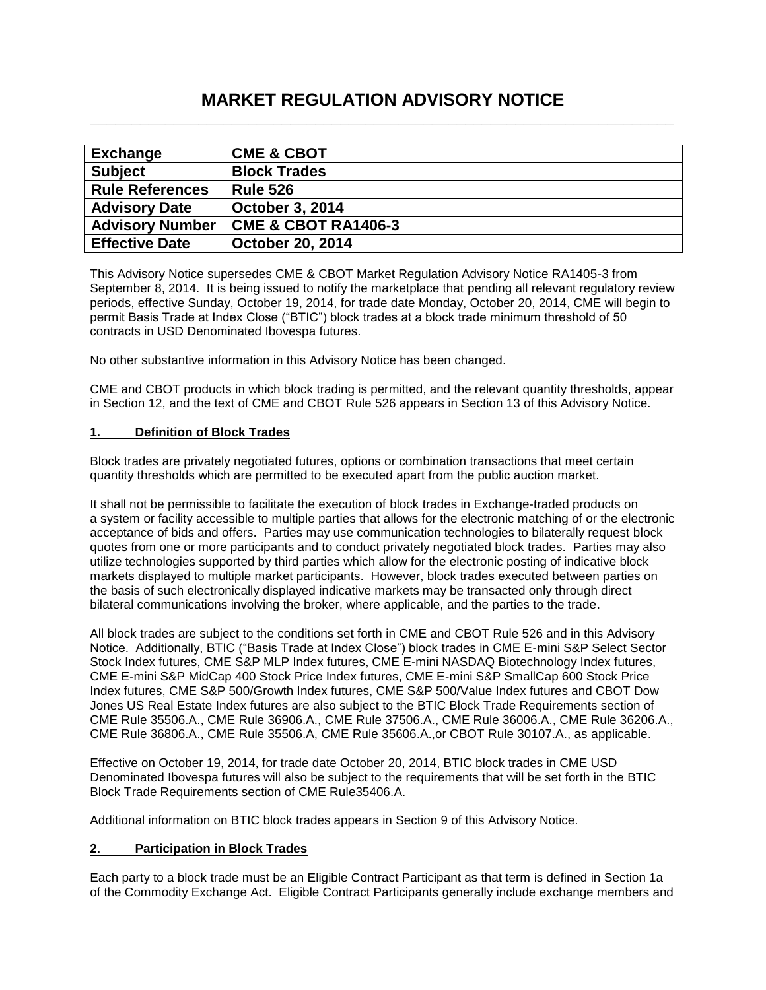# **MARKET REGULATION ADVISORY NOTICE \_\_\_\_\_\_\_\_\_\_\_\_\_\_\_\_\_\_\_\_\_\_\_\_\_\_\_\_\_\_\_\_\_\_\_\_\_\_\_\_\_\_\_\_\_\_\_\_\_\_\_\_\_\_\_\_\_\_\_\_\_\_\_\_\_\_\_\_\_\_**

| <b>Exchange</b>        | <b>CME &amp; CBOT</b>          |
|------------------------|--------------------------------|
| <b>Subject</b>         | <b>Block Trades</b>            |
| <b>Rule References</b> | <b>Rule 526</b>                |
| <b>Advisory Date</b>   | <b>October 3, 2014</b>         |
| <b>Advisory Number</b> | <b>CME &amp; CBOT RA1406-3</b> |
| <b>Effective Date</b>  | <b>October 20, 2014</b>        |

This Advisory Notice supersedes CME & CBOT Market Regulation Advisory Notice RA1405-3 from September 8, 2014. It is being issued to notify the marketplace that pending all relevant regulatory review periods, effective Sunday, October 19, 2014, for trade date Monday, October 20, 2014, CME will begin to permit Basis Trade at Index Close ("BTIC") block trades at a block trade minimum threshold of 50 contracts in USD Denominated Ibovespa futures.

No other substantive information in this Advisory Notice has been changed.

CME and CBOT products in which block trading is permitted, and the relevant quantity thresholds, appear in Section 12, and the text of CME and CBOT Rule 526 appears in Section 13 of this Advisory Notice.

## **1. Definition of Block Trades**

Block trades are privately negotiated futures, options or combination transactions that meet certain quantity thresholds which are permitted to be executed apart from the public auction market.

It shall not be permissible to facilitate the execution of block trades in Exchange-traded products on a system or facility accessible to multiple parties that allows for the electronic matching of or the electronic acceptance of bids and offers. Parties may use communication technologies to bilaterally request block quotes from one or more participants and to conduct privately negotiated block trades. Parties may also utilize technologies supported by third parties which allow for the electronic posting of indicative block markets displayed to multiple market participants. However, block trades executed between parties on the basis of such electronically displayed indicative markets may be transacted only through direct bilateral communications involving the broker, where applicable, and the parties to the trade.

All block trades are subject to the conditions set forth in CME and CBOT Rule 526 and in this Advisory Notice. Additionally, BTIC ("Basis Trade at Index Close") block trades in CME E-mini S&P Select Sector Stock Index futures, CME S&P MLP Index futures, CME E-mini NASDAQ Biotechnology Index futures, CME E-mini S&P MidCap 400 Stock Price Index futures, CME E-mini S&P SmallCap 600 Stock Price Index futures, CME S&P 500/Growth Index futures, CME S&P 500/Value Index futures and CBOT Dow Jones US Real Estate Index futures are also subject to the BTIC Block Trade Requirements section of CME Rule 35506.A., CME Rule 36906.A., CME Rule 37506.A., CME Rule 36006.A., CME Rule 36206.A., CME Rule 36806.A., CME Rule 35506.A, CME Rule 35606.A.,or CBOT Rule 30107.A., as applicable.

Effective on October 19, 2014, for trade date October 20, 2014, BTIC block trades in CME USD Denominated Ibovespa futures will also be subject to the requirements that will be set forth in the BTIC Block Trade Requirements section of CME Rule35406.A.

Additional information on BTIC block trades appears in Section 9 of this Advisory Notice.

## **2. Participation in Block Trades**

Each party to a block trade must be an Eligible Contract Participant as that term is defined in Section 1a of the Commodity Exchange Act. Eligible Contract Participants generally include exchange members and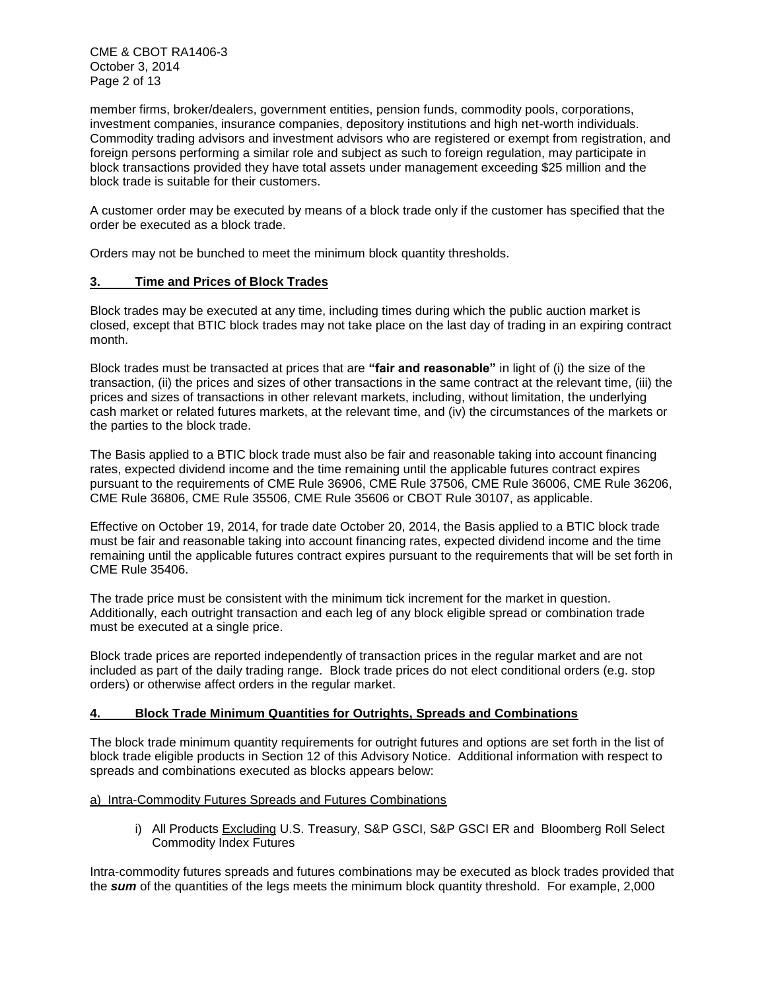CME & CBOT RA1406-3 October 3, 2014 Page 2 of 13

member firms, broker/dealers, government entities, pension funds, commodity pools, corporations, investment companies, insurance companies, depository institutions and high net-worth individuals. Commodity trading advisors and investment advisors who are registered or exempt from registration, and foreign persons performing a similar role and subject as such to foreign regulation, may participate in block transactions provided they have total assets under management exceeding \$25 million and the block trade is suitable for their customers.

A customer order may be executed by means of a block trade only if the customer has specified that the order be executed as a block trade.

Orders may not be bunched to meet the minimum block quantity thresholds.

# **3. Time and Prices of Block Trades**

Block trades may be executed at any time, including times during which the public auction market is closed, except that BTIC block trades may not take place on the last day of trading in an expiring contract month.

Block trades must be transacted at prices that are **"fair and reasonable"** in light of (i) the size of the transaction, (ii) the prices and sizes of other transactions in the same contract at the relevant time, (iii) the prices and sizes of transactions in other relevant markets, including, without limitation, the underlying cash market or related futures markets, at the relevant time, and (iv) the circumstances of the markets or the parties to the block trade.

The Basis applied to a BTIC block trade must also be fair and reasonable taking into account financing rates, expected dividend income and the time remaining until the applicable futures contract expires pursuant to the requirements of CME Rule 36906, CME Rule 37506, CME Rule 36006, CME Rule 36206, CME Rule 36806, CME Rule 35506, CME Rule 35606 or CBOT Rule 30107, as applicable.

Effective on October 19, 2014, for trade date October 20, 2014, the Basis applied to a BTIC block trade must be fair and reasonable taking into account financing rates, expected dividend income and the time remaining until the applicable futures contract expires pursuant to the requirements that will be set forth in CME Rule 35406.

The trade price must be consistent with the minimum tick increment for the market in question. Additionally, each outright transaction and each leg of any block eligible spread or combination trade must be executed at a single price.

Block trade prices are reported independently of transaction prices in the regular market and are not included as part of the daily trading range. Block trade prices do not elect conditional orders (e.g. stop orders) or otherwise affect orders in the regular market.

#### **4. Block Trade Minimum Quantities for Outrights, Spreads and Combinations**

The block trade minimum quantity requirements for outright futures and options are set forth in the list of block trade eligible products in Section 12 of this Advisory Notice. Additional information with respect to spreads and combinations executed as blocks appears below:

a) Intra-Commodity Futures Spreads and Futures Combinations

i) All Products Excluding U.S. Treasury, S&P GSCI, S&P GSCI ER and Bloomberg Roll Select Commodity Index Futures

Intra-commodity futures spreads and futures combinations may be executed as block trades provided that the *sum* of the quantities of the legs meets the minimum block quantity threshold. For example, 2,000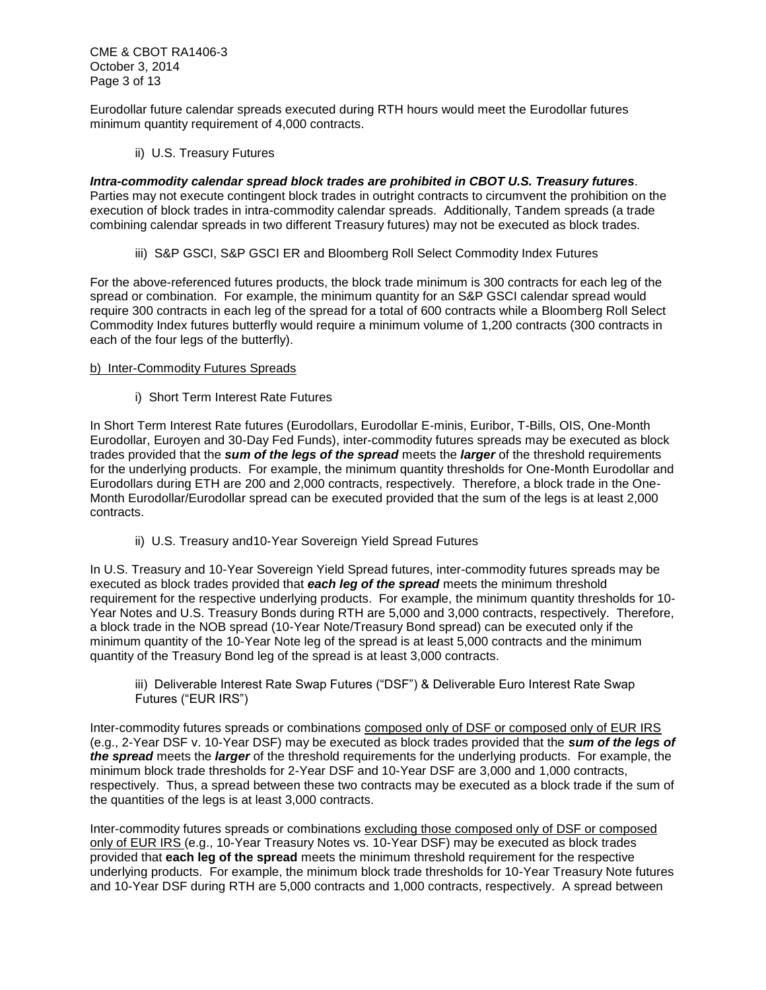Eurodollar future calendar spreads executed during RTH hours would meet the Eurodollar futures minimum quantity requirement of 4,000 contracts.

ii) U.S. Treasury Futures

*Intra-commodity calendar spread block trades are prohibited in CBOT U.S. Treasury futures.* Parties may not execute contingent block trades in outright contracts to circumvent the prohibition on the execution of block trades in intra-commodity calendar spreads. Additionally, Tandem spreads (a trade combining calendar spreads in two different Treasury futures) may not be executed as block trades.

iii) S&P GSCI, S&P GSCI ER and Bloomberg Roll Select Commodity Index Futures

For the above-referenced futures products, the block trade minimum is 300 contracts for each leg of the spread or combination. For example, the minimum quantity for an S&P GSCI calendar spread would require 300 contracts in each leg of the spread for a total of 600 contracts while a Bloomberg Roll Select Commodity Index futures butterfly would require a minimum volume of 1,200 contracts (300 contracts in each of the four legs of the butterfly).

#### b) Inter-Commodity Futures Spreads

i) Short Term Interest Rate Futures

In Short Term Interest Rate futures (Eurodollars, Eurodollar E-minis, Euribor, T-Bills, OIS, One-Month Eurodollar, Euroyen and 30-Day Fed Funds), inter-commodity futures spreads may be executed as block trades provided that the *sum of the legs of the spread* meets the *larger* of the threshold requirements for the underlying products. For example, the minimum quantity thresholds for One-Month Eurodollar and Eurodollars during ETH are 200 and 2,000 contracts, respectively. Therefore, a block trade in the One-Month Eurodollar/Eurodollar spread can be executed provided that the sum of the legs is at least 2,000 contracts.

ii) U.S. Treasury and10-Year Sovereign Yield Spread Futures

In U.S. Treasury and 10-Year Sovereign Yield Spread futures, inter-commodity futures spreads may be executed as block trades provided that *each leg of the spread* meets the minimum threshold requirement for the respective underlying products. For example, the minimum quantity thresholds for 10- Year Notes and U.S. Treasury Bonds during RTH are 5,000 and 3,000 contracts, respectively. Therefore, a block trade in the NOB spread (10-Year Note/Treasury Bond spread) can be executed only if the minimum quantity of the 10-Year Note leg of the spread is at least 5,000 contracts and the minimum quantity of the Treasury Bond leg of the spread is at least 3,000 contracts.

iii) Deliverable Interest Rate Swap Futures ("DSF") & Deliverable Euro Interest Rate Swap Futures ("EUR IRS")

Inter-commodity futures spreads or combinations composed only of DSF or composed only of EUR IRS (e.g., 2-Year DSF v. 10-Year DSF) may be executed as block trades provided that the *sum of the legs of the spread* meets the *larger* of the threshold requirements for the underlying products. For example, the minimum block trade thresholds for 2-Year DSF and 10-Year DSF are 3,000 and 1,000 contracts, respectively. Thus, a spread between these two contracts may be executed as a block trade if the sum of the quantities of the legs is at least 3,000 contracts.

Inter-commodity futures spreads or combinations excluding those composed only of DSF or composed only of EUR IRS (e.g., 10-Year Treasury Notes vs. 10-Year DSF) may be executed as block trades provided that **each leg of the spread** meets the minimum threshold requirement for the respective underlying products. For example, the minimum block trade thresholds for 10-Year Treasury Note futures and 10-Year DSF during RTH are 5,000 contracts and 1,000 contracts, respectively. A spread between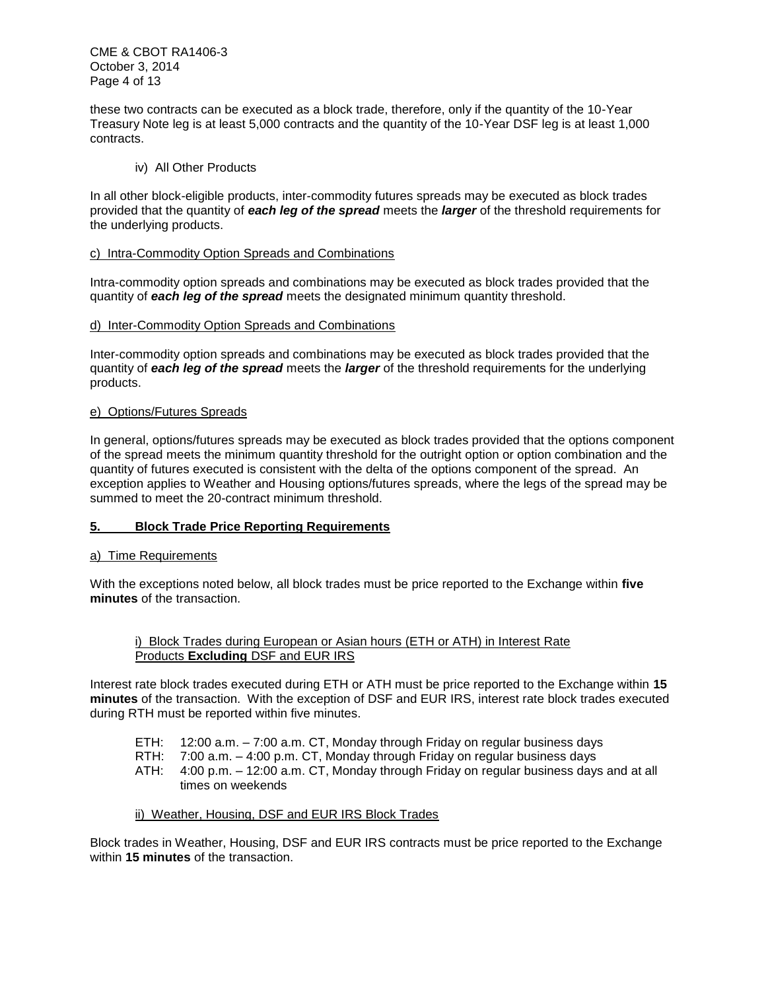CME & CBOT RA1406-3 October 3, 2014 Page 4 of 13

these two contracts can be executed as a block trade, therefore, only if the quantity of the 10-Year Treasury Note leg is at least 5,000 contracts and the quantity of the 10-Year DSF leg is at least 1,000 contracts.

## iv) All Other Products

In all other block-eligible products, inter-commodity futures spreads may be executed as block trades provided that the quantity of *each leg of the spread* meets the *larger* of the threshold requirements for the underlying products.

## c) Intra-Commodity Option Spreads and Combinations

Intra-commodity option spreads and combinations may be executed as block trades provided that the quantity of *each leg of the spread* meets the designated minimum quantity threshold.

## d) Inter-Commodity Option Spreads and Combinations

Inter-commodity option spreads and combinations may be executed as block trades provided that the quantity of *each leg of the spread* meets the *larger* of the threshold requirements for the underlying products.

## e) Options/Futures Spreads

In general, options/futures spreads may be executed as block trades provided that the options component of the spread meets the minimum quantity threshold for the outright option or option combination and the quantity of futures executed is consistent with the delta of the options component of the spread. An exception applies to Weather and Housing options/futures spreads, where the legs of the spread may be summed to meet the 20-contract minimum threshold.

# **5. Block Trade Price Reporting Requirements**

#### a) Time Requirements

With the exceptions noted below, all block trades must be price reported to the Exchange within **five minutes** of the transaction.

## i) Block Trades during European or Asian hours (ETH or ATH) in Interest Rate Products **Excluding** DSF and EUR IRS

Interest rate block trades executed during ETH or ATH must be price reported to the Exchange within **15 minutes** of the transaction. With the exception of DSF and EUR IRS, interest rate block trades executed during RTH must be reported within five minutes.

- ETH: 12:00 a.m. 7:00 a.m. CT, Monday through Friday on regular business days
- RTH: 7:00 a.m. 4:00 p.m. CT, Monday through Friday on regular business days
- ATH: 4:00 p.m. 12:00 a.m. CT, Monday through Friday on regular business days and at all times on weekends

# ii) Weather, Housing, DSF and EUR IRS Block Trades

Block trades in Weather, Housing, DSF and EUR IRS contracts must be price reported to the Exchange within **15 minutes** of the transaction.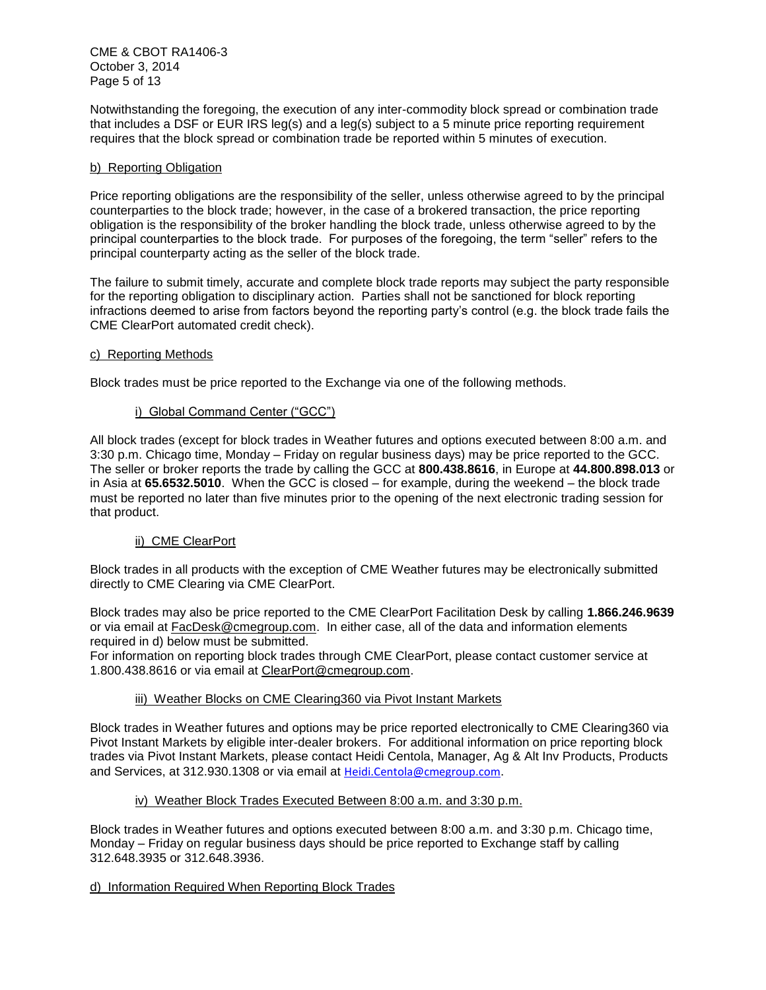CME & CBOT RA1406-3 October 3, 2014 Page 5 of 13

Notwithstanding the foregoing, the execution of any inter-commodity block spread or combination trade that includes a DSF or EUR IRS leg(s) and a leg(s) subject to a 5 minute price reporting requirement requires that the block spread or combination trade be reported within 5 minutes of execution.

## b) Reporting Obligation

Price reporting obligations are the responsibility of the seller, unless otherwise agreed to by the principal counterparties to the block trade; however, in the case of a brokered transaction, the price reporting obligation is the responsibility of the broker handling the block trade, unless otherwise agreed to by the principal counterparties to the block trade. For purposes of the foregoing, the term "seller" refers to the principal counterparty acting as the seller of the block trade.

The failure to submit timely, accurate and complete block trade reports may subject the party responsible for the reporting obligation to disciplinary action. Parties shall not be sanctioned for block reporting infractions deemed to arise from factors beyond the reporting party's control (e.g. the block trade fails the CME ClearPort automated credit check).

#### c) Reporting Methods

Block trades must be price reported to the Exchange via one of the following methods.

## i) Global Command Center ("GCC")

All block trades (except for block trades in Weather futures and options executed between 8:00 a.m. and 3:30 p.m. Chicago time, Monday – Friday on regular business days) may be price reported to the GCC. The seller or broker reports the trade by calling the GCC at **800.438.8616**, in Europe at **44.800.898.013** or in Asia at **65.6532.5010**. When the GCC is closed – for example, during the weekend – the block trade must be reported no later than five minutes prior to the opening of the next electronic trading session for that product.

#### ii) CME ClearPort

Block trades in all products with the exception of CME Weather futures may be electronically submitted directly to CME Clearing via CME ClearPort.

Block trades may also be price reported to the CME ClearPort Facilitation Desk by calling **1.866.246.9639** or via email at [FacDesk@cmegroup.com.](mailto:FacDesk@cmegroup.com) In either case, all of the data and information elements required in d) below must be submitted.

For information on reporting block trades through CME ClearPort, please contact customer service at 1.800.438.8616 or via email at [ClearPort@cmegroup.com.](mailto:ClearPort@cmegroup.com)

#### iii) Weather Blocks on CME Clearing360 via Pivot Instant Markets

Block trades in Weather futures and options may be price reported electronically to CME Clearing360 via Pivot Instant Markets by eligible inter-dealer brokers. For additional information on price reporting block trades via Pivot Instant Markets, please contact Heidi Centola, Manager, Ag & Alt Inv Products, Products and Services, at 312.930.1308 or via email at [Heidi.Centola@cmegroup.com](mailto:Heidi.Centola@cmegroup.com).

#### iv) Weather Block Trades Executed Between 8:00 a.m. and 3:30 p.m.

Block trades in Weather futures and options executed between 8:00 a.m. and 3:30 p.m. Chicago time, Monday – Friday on regular business days should be price reported to Exchange staff by calling 312.648.3935 or 312.648.3936.

#### d) Information Required When Reporting Block Trades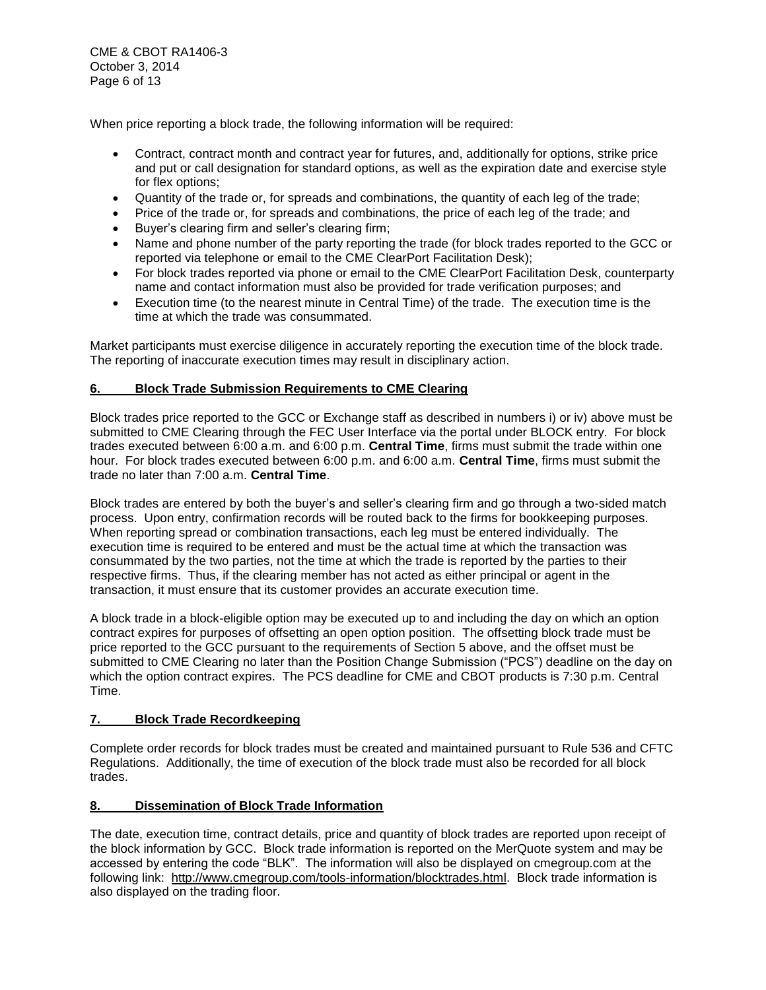CME & CBOT RA1406-3 October 3, 2014 Page 6 of 13

When price reporting a block trade, the following information will be required:

- Contract, contract month and contract year for futures, and, additionally for options, strike price and put or call designation for standard options, as well as the expiration date and exercise style for flex options;
- Quantity of the trade or, for spreads and combinations, the quantity of each leg of the trade;
- Price of the trade or, for spreads and combinations, the price of each leg of the trade; and
- Buyer's clearing firm and seller's clearing firm;
- Name and phone number of the party reporting the trade (for block trades reported to the GCC or reported via telephone or email to the CME ClearPort Facilitation Desk);
- For block trades reported via phone or email to the CME ClearPort Facilitation Desk, counterparty name and contact information must also be provided for trade verification purposes; and
- Execution time (to the nearest minute in Central Time) of the trade. The execution time is the time at which the trade was consummated.

Market participants must exercise diligence in accurately reporting the execution time of the block trade. The reporting of inaccurate execution times may result in disciplinary action.

## **6. Block Trade Submission Requirements to CME Clearing**

Block trades price reported to the GCC or Exchange staff as described in numbers i) or iv) above must be submitted to CME Clearing through the FEC User Interface via the portal under BLOCK entry. For block trades executed between 6:00 a.m. and 6:00 p.m. **Central Time**, firms must submit the trade within one hour. For block trades executed between 6:00 p.m. and 6:00 a.m. **Central Time**, firms must submit the trade no later than 7:00 a.m. **Central Time**.

Block trades are entered by both the buyer's and seller's clearing firm and go through a two-sided match process. Upon entry, confirmation records will be routed back to the firms for bookkeeping purposes. When reporting spread or combination transactions, each leg must be entered individually. The execution time is required to be entered and must be the actual time at which the transaction was consummated by the two parties, not the time at which the trade is reported by the parties to their respective firms. Thus, if the clearing member has not acted as either principal or agent in the transaction, it must ensure that its customer provides an accurate execution time.

A block trade in a block-eligible option may be executed up to and including the day on which an option contract expires for purposes of offsetting an open option position. The offsetting block trade must be price reported to the GCC pursuant to the requirements of Section 5 above, and the offset must be submitted to CME Clearing no later than the Position Change Submission ("PCS") deadline on the day on which the option contract expires. The PCS deadline for CME and CBOT products is 7:30 p.m. Central Time.

#### **7. Block Trade Recordkeeping**

Complete order records for block trades must be created and maintained pursuant to Rule 536 and CFTC Regulations. Additionally, the time of execution of the block trade must also be recorded for all block trades.

#### **8. Dissemination of Block Trade Information**

The date, execution time, contract details, price and quantity of block trades are reported upon receipt of the block information by GCC. Block trade information is reported on the MerQuote system and may be accessed by entering the code "BLK". The information will also be displayed on cmegroup.com at the following link: [http://www.cmegroup.com/tools-information/blocktrades.html.](http://www.cmegroup.com/tools-information/blocktrades.html) Block trade information is also displayed on the trading floor.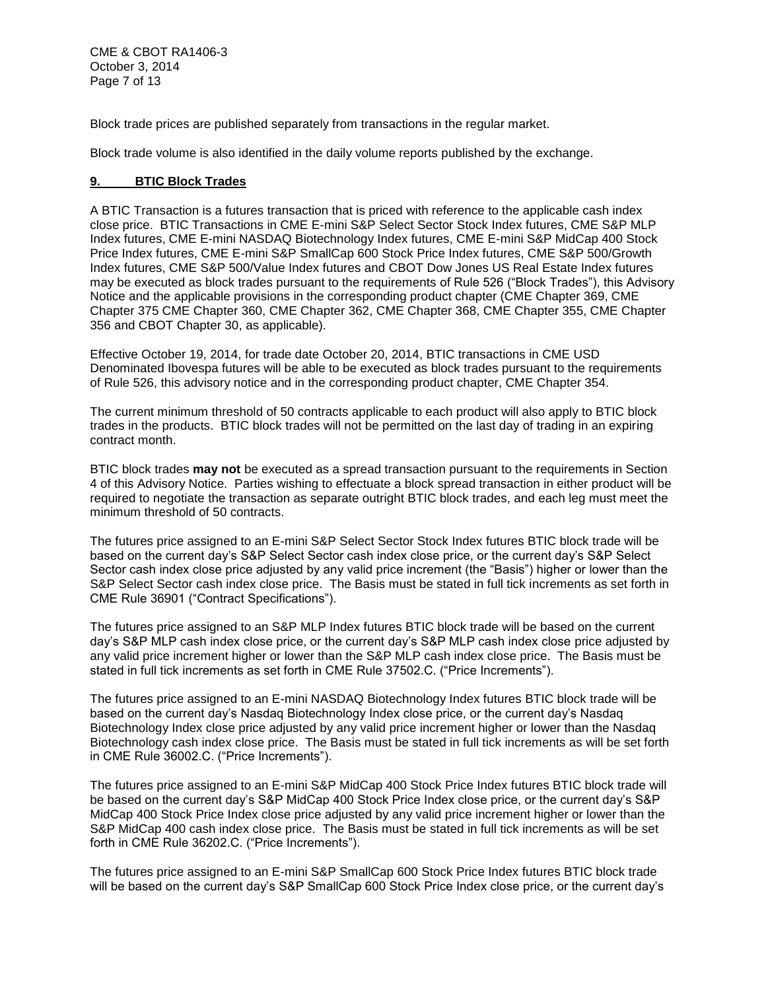CME & CBOT RA1406-3 October 3, 2014 Page 7 of 13

Block trade prices are published separately from transactions in the regular market.

Block trade volume is also identified in the daily volume reports published by the exchange.

## **9. BTIC Block Trades**

A BTIC Transaction is a futures transaction that is priced with reference to the applicable cash index close price. BTIC Transactions in CME E-mini S&P Select Sector Stock Index futures, CME S&P MLP Index futures, CME E-mini NASDAQ Biotechnology Index futures, CME E-mini S&P MidCap 400 Stock Price Index futures, CME E-mini S&P SmallCap 600 Stock Price Index futures, CME S&P 500/Growth Index futures, CME S&P 500/Value Index futures and CBOT Dow Jones US Real Estate Index futures may be executed as block trades pursuant to the requirements of Rule 526 ("Block Trades"), this Advisory Notice and the applicable provisions in the corresponding product chapter (CME Chapter 369, CME Chapter 375 CME Chapter 360, CME Chapter 362, CME Chapter 368, CME Chapter 355, CME Chapter 356 and CBOT Chapter 30, as applicable).

Effective October 19, 2014, for trade date October 20, 2014, BTIC transactions in CME USD Denominated Ibovespa futures will be able to be executed as block trades pursuant to the requirements of Rule 526, this advisory notice and in the corresponding product chapter, CME Chapter 354.

The current minimum threshold of 50 contracts applicable to each product will also apply to BTIC block trades in the products. BTIC block trades will not be permitted on the last day of trading in an expiring contract month.

BTIC block trades **may not** be executed as a spread transaction pursuant to the requirements in Section 4 of this Advisory Notice. Parties wishing to effectuate a block spread transaction in either product will be required to negotiate the transaction as separate outright BTIC block trades, and each leg must meet the minimum threshold of 50 contracts.

The futures price assigned to an E-mini S&P Select Sector Stock Index futures BTIC block trade will be based on the current day's S&P Select Sector cash index close price, or the current day's S&P Select Sector cash index close price adjusted by any valid price increment (the "Basis") higher or lower than the S&P Select Sector cash index close price. The Basis must be stated in full tick increments as set forth in CME Rule 36901 ("Contract Specifications").

The futures price assigned to an S&P MLP Index futures BTIC block trade will be based on the current day's S&P MLP cash index close price, or the current day's S&P MLP cash index close price adjusted by any valid price increment higher or lower than the S&P MLP cash index close price. The Basis must be stated in full tick increments as set forth in CME Rule 37502.C. ("Price Increments").

The futures price assigned to an E-mini NASDAQ Biotechnology Index futures BTIC block trade will be based on the current day's Nasdaq Biotechnology Index close price, or the current day's Nasdaq Biotechnology Index close price adjusted by any valid price increment higher or lower than the Nasdaq Biotechnology cash index close price. The Basis must be stated in full tick increments as will be set forth in CME Rule 36002.C. ("Price Increments").

The futures price assigned to an E-mini S&P MidCap 400 Stock Price Index futures BTIC block trade will be based on the current day's S&P MidCap 400 Stock Price Index close price, or the current day's S&P MidCap 400 Stock Price Index close price adjusted by any valid price increment higher or lower than the S&P MidCap 400 cash index close price. The Basis must be stated in full tick increments as will be set forth in CME Rule 36202.C. ("Price Increments").

The futures price assigned to an E-mini S&P SmallCap 600 Stock Price Index futures BTIC block trade will be based on the current day's S&P SmallCap 600 Stock Price Index close price, or the current day's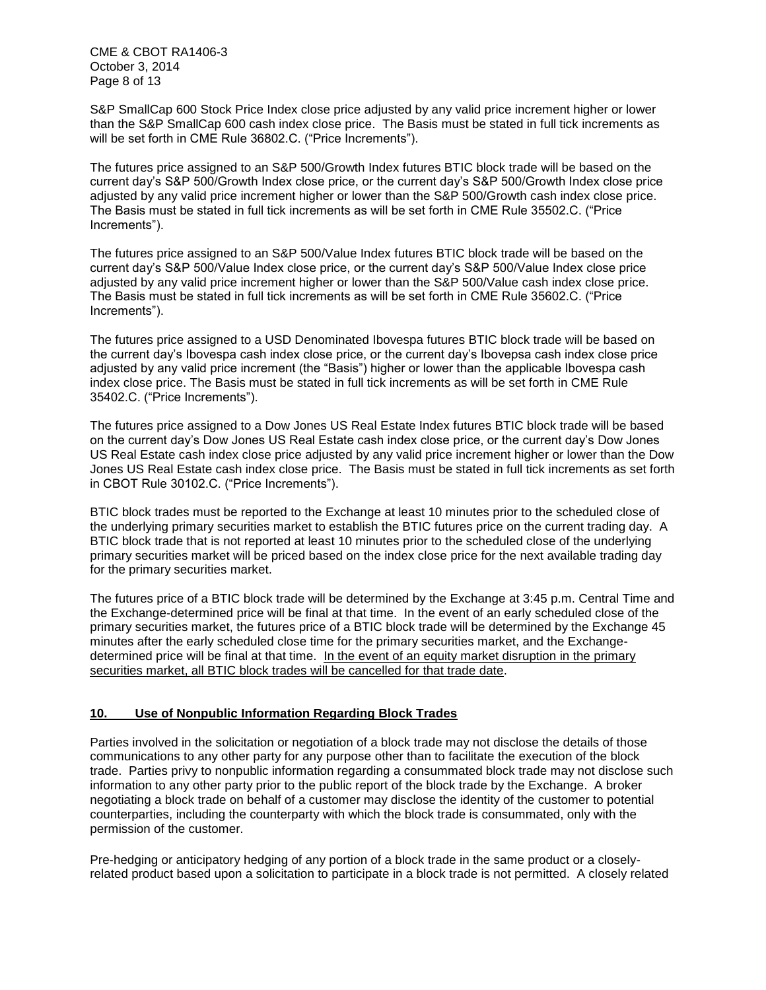CME & CBOT RA1406-3 October 3, 2014 Page 8 of 13

S&P SmallCap 600 Stock Price Index close price adjusted by any valid price increment higher or lower than the S&P SmallCap 600 cash index close price. The Basis must be stated in full tick increments as will be set forth in CME Rule 36802.C. ("Price Increments").

The futures price assigned to an S&P 500/Growth Index futures BTIC block trade will be based on the current day's S&P 500/Growth Index close price, or the current day's S&P 500/Growth Index close price adjusted by any valid price increment higher or lower than the S&P 500/Growth cash index close price. The Basis must be stated in full tick increments as will be set forth in CME Rule 35502.C. ("Price Increments").

The futures price assigned to an S&P 500/Value Index futures BTIC block trade will be based on the current day's S&P 500/Value Index close price, or the current day's S&P 500/Value Index close price adjusted by any valid price increment higher or lower than the S&P 500/Value cash index close price. The Basis must be stated in full tick increments as will be set forth in CME Rule 35602.C. ("Price Increments").

The futures price assigned to a USD Denominated Ibovespa futures BTIC block trade will be based on the current day's Ibovespa cash index close price, or the current day's Ibovepsa cash index close price adjusted by any valid price increment (the "Basis") higher or lower than the applicable Ibovespa cash index close price. The Basis must be stated in full tick increments as will be set forth in CME Rule 35402.C. ("Price Increments").

The futures price assigned to a Dow Jones US Real Estate Index futures BTIC block trade will be based on the current day's Dow Jones US Real Estate cash index close price, or the current day's Dow Jones US Real Estate cash index close price adjusted by any valid price increment higher or lower than the Dow Jones US Real Estate cash index close price. The Basis must be stated in full tick increments as set forth in CBOT Rule 30102.C. ("Price Increments").

BTIC block trades must be reported to the Exchange at least 10 minutes prior to the scheduled close of the underlying primary securities market to establish the BTIC futures price on the current trading day. A BTIC block trade that is not reported at least 10 minutes prior to the scheduled close of the underlying primary securities market will be priced based on the index close price for the next available trading day for the primary securities market.

The futures price of a BTIC block trade will be determined by the Exchange at 3:45 p.m. Central Time and the Exchange-determined price will be final at that time. In the event of an early scheduled close of the primary securities market, the futures price of a BTIC block trade will be determined by the Exchange 45 minutes after the early scheduled close time for the primary securities market, and the Exchangedetermined price will be final at that time. In the event of an equity market disruption in the primary securities market, all BTIC block trades will be cancelled for that trade date.

#### **10. Use of Nonpublic Information Regarding Block Trades**

Parties involved in the solicitation or negotiation of a block trade may not disclose the details of those communications to any other party for any purpose other than to facilitate the execution of the block trade. Parties privy to nonpublic information regarding a consummated block trade may not disclose such information to any other party prior to the public report of the block trade by the Exchange. A broker negotiating a block trade on behalf of a customer may disclose the identity of the customer to potential counterparties, including the counterparty with which the block trade is consummated, only with the permission of the customer.

Pre-hedging or anticipatory hedging of any portion of a block trade in the same product or a closelyrelated product based upon a solicitation to participate in a block trade is not permitted. A closely related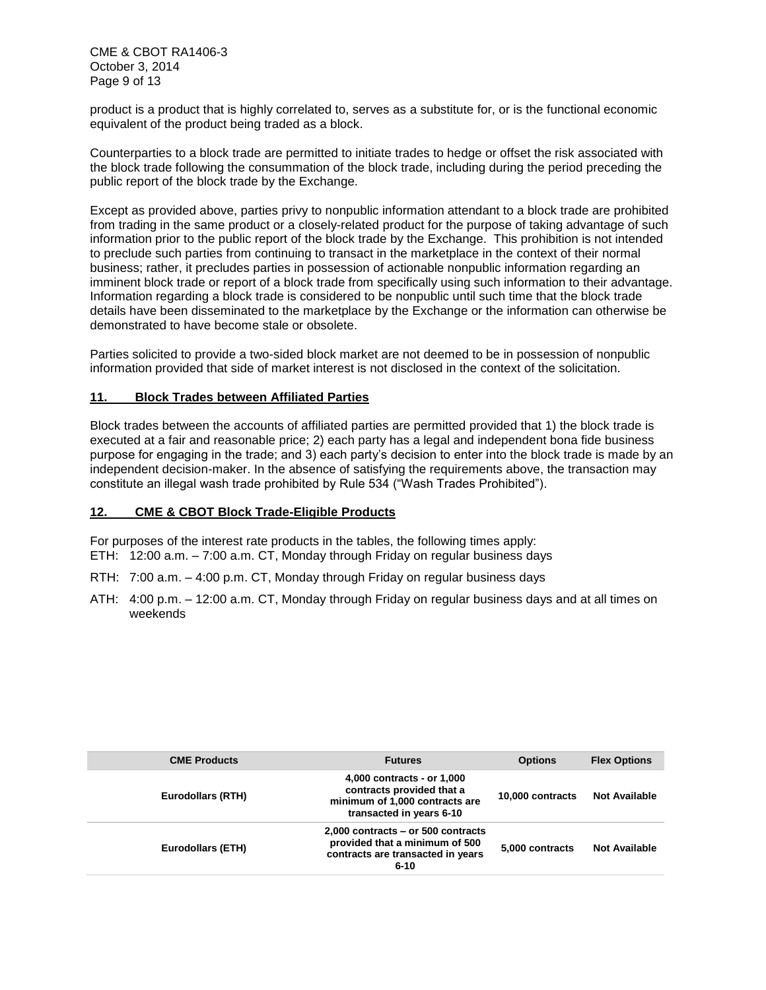CME & CBOT RA1406-3 October 3, 2014 Page 9 of 13

product is a product that is highly correlated to, serves as a substitute for, or is the functional economic equivalent of the product being traded as a block.

Counterparties to a block trade are permitted to initiate trades to hedge or offset the risk associated with the block trade following the consummation of the block trade, including during the period preceding the public report of the block trade by the Exchange.

Except as provided above, parties privy to nonpublic information attendant to a block trade are prohibited from trading in the same product or a closely-related product for the purpose of taking advantage of such information prior to the public report of the block trade by the Exchange. This prohibition is not intended to preclude such parties from continuing to transact in the marketplace in the context of their normal business; rather, it precludes parties in possession of actionable nonpublic information regarding an imminent block trade or report of a block trade from specifically using such information to their advantage. Information regarding a block trade is considered to be nonpublic until such time that the block trade details have been disseminated to the marketplace by the Exchange or the information can otherwise be demonstrated to have become stale or obsolete.

Parties solicited to provide a two-sided block market are not deemed to be in possession of nonpublic information provided that side of market interest is not disclosed in the context of the solicitation.

#### **11. Block Trades between Affiliated Parties**

Block trades between the accounts of affiliated parties are permitted provided that 1) the block trade is executed at a fair and reasonable price; 2) each party has a legal and independent bona fide business purpose for engaging in the trade; and 3) each party's decision to enter into the block trade is made by an independent decision-maker. In the absence of satisfying the requirements above, the transaction may constitute an illegal wash trade prohibited by Rule 534 ("Wash Trades Prohibited").

#### **12. CME & CBOT Block Trade-Eligible Products**

For purposes of the interest rate products in the tables, the following times apply: ETH: 12:00 a.m. – 7:00 a.m. CT, Monday through Friday on regular business days

- RTH: 7:00 a.m. 4:00 p.m. CT, Monday through Friday on regular business days
- ATH: 4:00 p.m. 12:00 a.m. CT, Monday through Friday on regular business days and at all times on weekends

| <b>CME Products</b>      | <b>Futures</b>                                                                                                          | <b>Options</b>   | <b>Flex Options</b>  |
|--------------------------|-------------------------------------------------------------------------------------------------------------------------|------------------|----------------------|
| <b>Eurodollars (RTH)</b> | 4,000 contracts - or 1,000<br>contracts provided that a<br>minimum of 1,000 contracts are<br>transacted in years 6-10   | 10,000 contracts | <b>Not Available</b> |
| <b>Eurodollars (ETH)</b> | $2,000$ contracts – or 500 contracts<br>provided that a minimum of 500<br>contracts are transacted in years<br>$6 - 10$ | 5.000 contracts  | <b>Not Available</b> |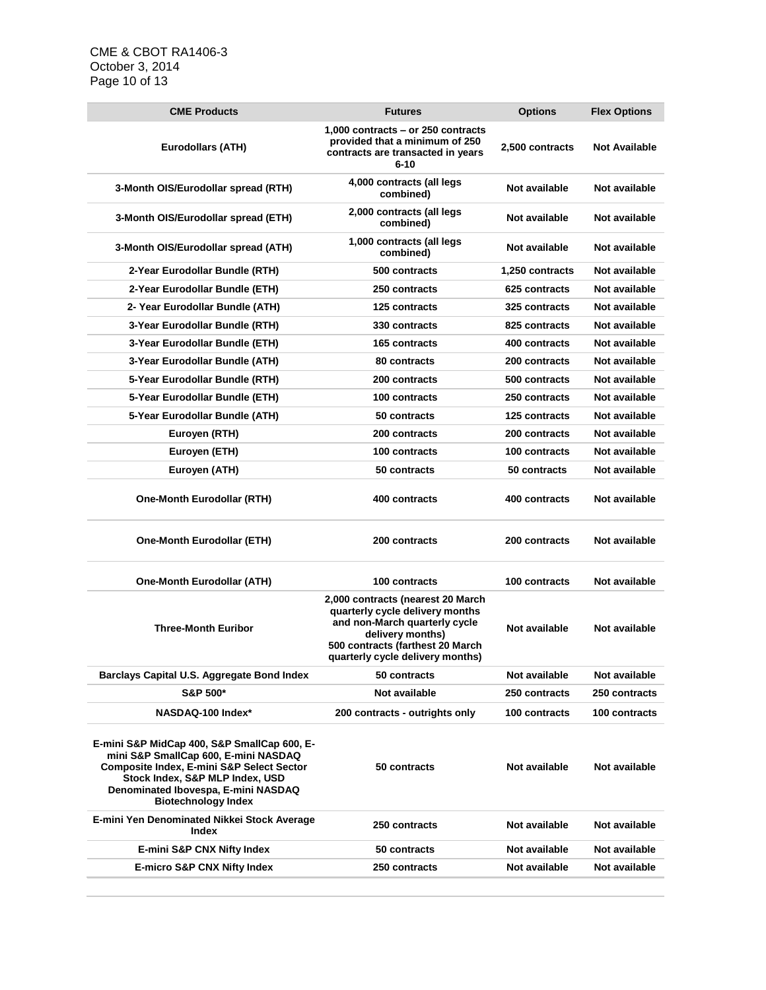## CME & CBOT RA1406-3 October 3, 2014 Page 10 of 13

| <b>CME Products</b>                                                                                                                                                                                                                                 | <b>Futures</b>                                                                                                                                                                                    | <b>Options</b>       | <b>Flex Options</b>  |
|-----------------------------------------------------------------------------------------------------------------------------------------------------------------------------------------------------------------------------------------------------|---------------------------------------------------------------------------------------------------------------------------------------------------------------------------------------------------|----------------------|----------------------|
| <b>Eurodollars (ATH)</b>                                                                                                                                                                                                                            | 1.000 contracts – or 250 contracts<br>provided that a minimum of 250<br>contracts are transacted in years<br>$6 - 10$                                                                             | 2,500 contracts      | <b>Not Available</b> |
| 3-Month OIS/Eurodollar spread (RTH)                                                                                                                                                                                                                 | 4,000 contracts (all legs<br>combined)                                                                                                                                                            | Not available        | Not available        |
| 3-Month OIS/Eurodollar spread (ETH)                                                                                                                                                                                                                 | 2,000 contracts (all legs<br>combined)                                                                                                                                                            | Not available        | Not available        |
| 3-Month OIS/Eurodollar spread (ATH)                                                                                                                                                                                                                 | 1,000 contracts (all legs<br>combined)                                                                                                                                                            | Not available        | Not available        |
| 2-Year Eurodollar Bundle (RTH)                                                                                                                                                                                                                      | 500 contracts                                                                                                                                                                                     | 1,250 contracts      | Not available        |
| 2-Year Eurodollar Bundle (ETH)                                                                                                                                                                                                                      | 250 contracts                                                                                                                                                                                     | 625 contracts        | Not available        |
| 2- Year Eurodollar Bundle (ATH)                                                                                                                                                                                                                     | <b>125 contracts</b>                                                                                                                                                                              | <b>325 contracts</b> | Not available        |
| 3-Year Eurodollar Bundle (RTH)                                                                                                                                                                                                                      | 330 contracts                                                                                                                                                                                     | 825 contracts        | Not available        |
| 3-Year Eurodollar Bundle (ETH)                                                                                                                                                                                                                      | <b>165 contracts</b>                                                                                                                                                                              | 400 contracts        | Not available        |
| 3-Year Eurodollar Bundle (ATH)                                                                                                                                                                                                                      | 80 contracts                                                                                                                                                                                      | 200 contracts        | Not available        |
| 5-Year Eurodollar Bundle (RTH)                                                                                                                                                                                                                      | 200 contracts                                                                                                                                                                                     | 500 contracts        | Not available        |
| 5-Year Eurodollar Bundle (ETH)                                                                                                                                                                                                                      | 100 contracts                                                                                                                                                                                     | 250 contracts        | Not available        |
| 5-Year Eurodollar Bundle (ATH)                                                                                                                                                                                                                      | 50 contracts                                                                                                                                                                                      | 125 contracts        | Not available        |
| Euroyen (RTH)                                                                                                                                                                                                                                       | 200 contracts                                                                                                                                                                                     | 200 contracts        | Not available        |
| Euroyen (ETH)                                                                                                                                                                                                                                       | 100 contracts                                                                                                                                                                                     | 100 contracts        | Not available        |
| Euroyen (ATH)                                                                                                                                                                                                                                       | 50 contracts                                                                                                                                                                                      | 50 contracts         | Not available        |
| <b>One-Month Eurodollar (RTH)</b>                                                                                                                                                                                                                   | 400 contracts                                                                                                                                                                                     | 400 contracts        | Not available        |
| <b>One-Month Eurodollar (ETH)</b>                                                                                                                                                                                                                   | 200 contracts                                                                                                                                                                                     | 200 contracts        | Not available        |
| <b>One-Month Eurodollar (ATH)</b>                                                                                                                                                                                                                   | 100 contracts                                                                                                                                                                                     | 100 contracts        | Not available        |
| <b>Three-Month Euribor</b>                                                                                                                                                                                                                          | 2,000 contracts (nearest 20 March<br>quarterly cycle delivery months<br>and non-March quarterly cycle<br>delivery months)<br>500 contracts (farthest 20 March<br>quarterly cycle delivery months) | Not available        | Not available        |
| Barclays Capital U.S. Aggregate Bond Index                                                                                                                                                                                                          | 50 contracts                                                                                                                                                                                      | Not available        | Not available        |
| <b>S&amp;P 500*</b>                                                                                                                                                                                                                                 | Not available                                                                                                                                                                                     | 250 contracts        | 250 contracts        |
| NASDAQ-100 Index*                                                                                                                                                                                                                                   | 200 contracts - outrights only                                                                                                                                                                    | 100 contracts        | 100 contracts        |
| E-mini S&P MidCap 400, S&P SmallCap 600, E-<br>mini S&P SmallCap 600, E-mini NASDAQ<br><b>Composite Index, E-mini S&amp;P Select Sector</b><br>Stock Index, S&P MLP Index, USD<br>Denominated Ibovespa, E-mini NASDAQ<br><b>Biotechnology Index</b> | 50 contracts                                                                                                                                                                                      | Not available        | Not available        |
| E-mini Yen Denominated Nikkei Stock Average                                                                                                                                                                                                         | 250 contracts                                                                                                                                                                                     | Not available        | Not available        |
| Index                                                                                                                                                                                                                                               |                                                                                                                                                                                                   |                      |                      |
| <b>E-mini S&amp;P CNX Nifty Index</b>                                                                                                                                                                                                               | 50 contracts                                                                                                                                                                                      | Not available        | Not available        |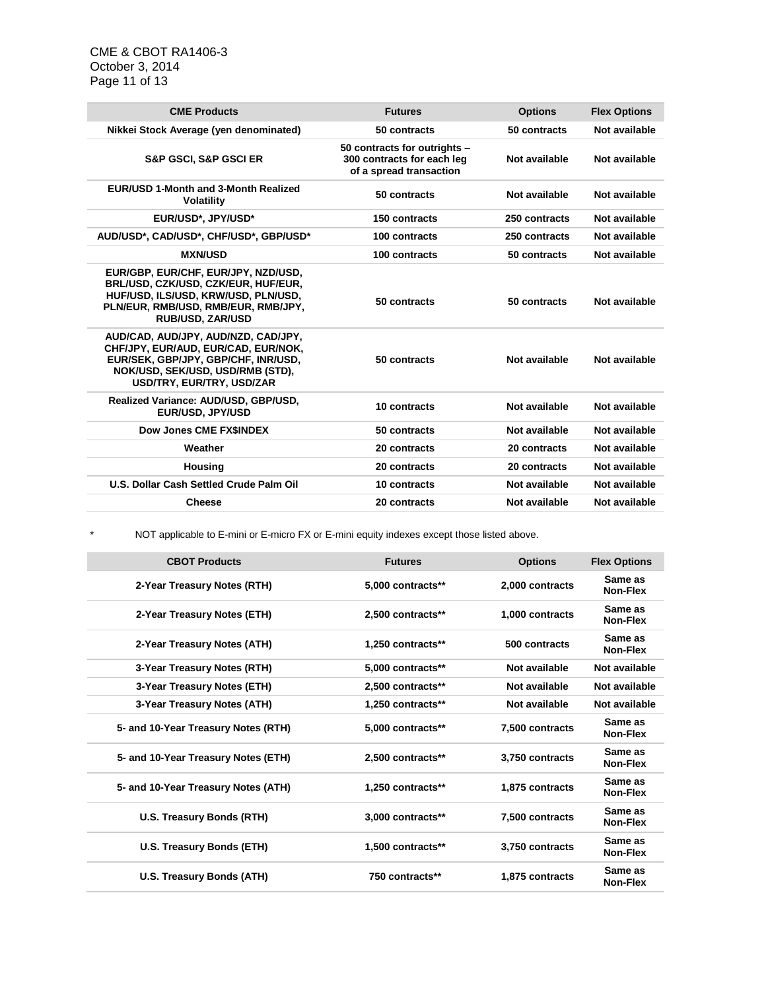CME & CBOT RA1406-3 October 3, 2014 Page 11 of 13

| <b>CME Products</b>                                                                                                                                                                 | <b>Futures</b>                                                                        | <b>Options</b> | <b>Flex Options</b> |
|-------------------------------------------------------------------------------------------------------------------------------------------------------------------------------------|---------------------------------------------------------------------------------------|----------------|---------------------|
| Nikkei Stock Average (yen denominated)                                                                                                                                              | 50 contracts                                                                          | 50 contracts   | Not available       |
| <b>S&amp;P GSCI, S&amp;P GSCI ER</b>                                                                                                                                                | 50 contracts for outrights -<br>300 contracts for each leg<br>of a spread transaction | Not available  | Not available       |
| <b>EUR/USD 1-Month and 3-Month Realized</b><br><b>Volatility</b>                                                                                                                    | 50 contracts                                                                          | Not available  | Not available       |
| EUR/USD*, JPY/USD*                                                                                                                                                                  | 150 contracts                                                                         | 250 contracts  | Not available       |
| AUD/USD*, CAD/USD*, CHF/USD*, GBP/USD*                                                                                                                                              | 100 contracts                                                                         | 250 contracts  | Not available       |
| <b>MXN/USD</b>                                                                                                                                                                      | 100 contracts                                                                         | 50 contracts   | Not available       |
| EUR/GBP, EUR/CHF, EUR/JPY, NZD/USD,<br>BRL/USD, CZK/USD, CZK/EUR, HUF/EUR,<br>HUF/USD, ILS/USD, KRW/USD, PLN/USD,<br>PLN/EUR, RMB/USD, RMB/EUR, RMB/JPY,<br><b>RUB/USD, ZAR/USD</b> | 50 contracts                                                                          | 50 contracts   | Not available       |
| AUD/CAD, AUD/JPY, AUD/NZD, CAD/JPY,<br>CHF/JPY, EUR/AUD, EUR/CAD, EUR/NOK,<br>EUR/SEK, GBP/JPY, GBP/CHF, INR/USD,<br>NOK/USD, SEK/USD, USD/RMB (STD),<br>USD/TRY, EUR/TRY, USD/ZAR  | 50 contracts                                                                          | Not available  | Not available       |
| Realized Variance: AUD/USD, GBP/USD,<br>EUR/USD, JPY/USD                                                                                                                            | 10 contracts                                                                          | Not available  | Not available       |
| Dow Jones CME FX\$INDEX                                                                                                                                                             | 50 contracts                                                                          | Not available  | Not available       |
| Weather                                                                                                                                                                             | 20 contracts                                                                          | 20 contracts   | Not available       |
| <b>Housing</b>                                                                                                                                                                      | 20 contracts                                                                          | 20 contracts   | Not available       |
| U.S. Dollar Cash Settled Crude Palm Oil                                                                                                                                             | 10 contracts                                                                          | Not available  | Not available       |
| <b>Cheese</b>                                                                                                                                                                       | 20 contracts                                                                          | Not available  | Not available       |
|                                                                                                                                                                                     |                                                                                       |                |                     |

\* NOT applicable to E-mini or E-micro FX or E-mini equity indexes except those listed above.

| <b>CBOT Products</b>                | <b>Futures</b>    | <b>Options</b>  | <b>Flex Options</b>        |
|-------------------------------------|-------------------|-----------------|----------------------------|
| 2-Year Treasury Notes (RTH)         | 5,000 contracts** | 2,000 contracts | Same as<br>Non-Flex        |
| 2-Year Treasury Notes (ETH)         | 2.500 contracts** | 1.000 contracts | Same as<br>Non-Flex        |
| 2-Year Treasury Notes (ATH)         | 1,250 contracts** | 500 contracts   | Same as<br><b>Non-Flex</b> |
| 3-Year Treasury Notes (RTH)         | 5,000 contracts** | Not available   | Not available              |
| 3-Year Treasury Notes (ETH)         | 2,500 contracts** | Not available   | Not available              |
| 3-Year Treasury Notes (ATH)         | 1,250 contracts** | Not available   | Not available              |
| 5- and 10-Year Treasury Notes (RTH) | 5.000 contracts** | 7,500 contracts | Same as<br>Non-Flex        |
| 5- and 10-Year Treasury Notes (ETH) | 2.500 contracts** | 3.750 contracts | Same as<br>Non-Flex        |
| 5- and 10-Year Treasury Notes (ATH) | 1.250 contracts** | 1,875 contracts | Same as<br>Non-Flex        |
| <b>U.S. Treasury Bonds (RTH)</b>    | 3,000 contracts** | 7,500 contracts | Same as<br>Non-Flex        |
| U.S. Treasury Bonds (ETH)           | 1,500 contracts** | 3,750 contracts | Same as<br>Non-Flex        |
| U.S. Treasury Bonds (ATH)           | 750 contracts**   | 1.875 contracts | Same as<br>Non-Flex        |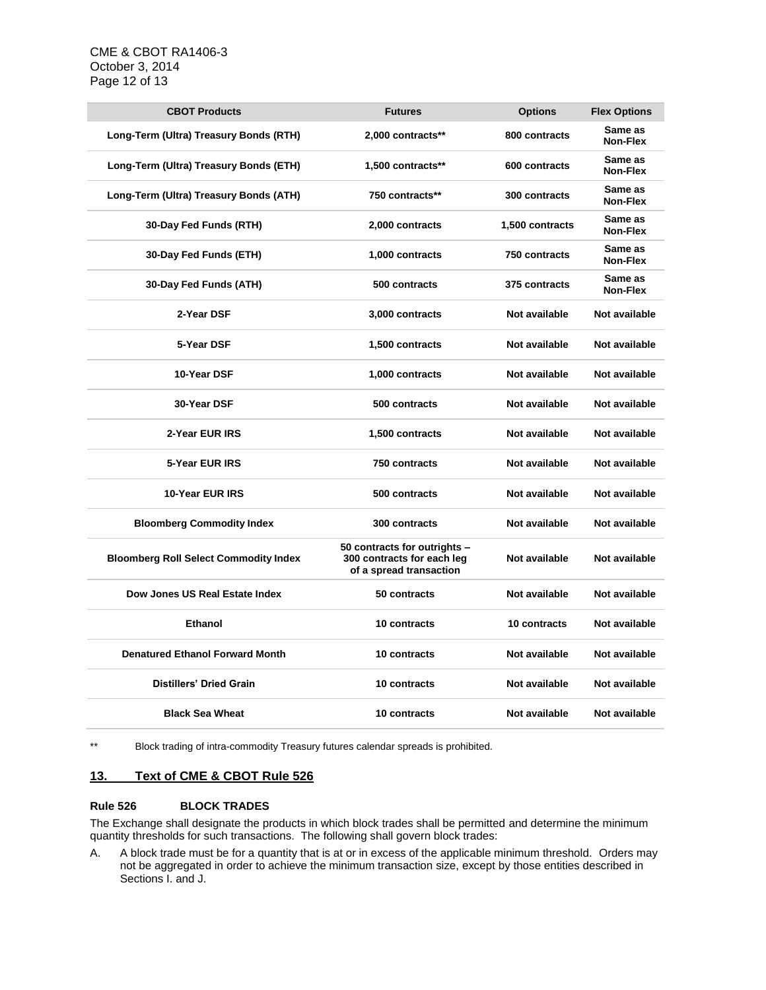| <b>CBOT Products</b>                         | <b>Futures</b>                                                                        | <b>Options</b>  | <b>Flex Options</b> |
|----------------------------------------------|---------------------------------------------------------------------------------------|-----------------|---------------------|
| Long-Term (Ultra) Treasury Bonds (RTH)       | 2,000 contracts**                                                                     | 800 contracts   | Same as<br>Non-Flex |
| Long-Term (Ultra) Treasury Bonds (ETH)       | 1,500 contracts**                                                                     | 600 contracts   | Same as<br>Non-Flex |
| Long-Term (Ultra) Treasury Bonds (ATH)       | 750 contracts**                                                                       | 300 contracts   | Same as<br>Non-Flex |
| 30-Day Fed Funds (RTH)                       | 2,000 contracts                                                                       | 1,500 contracts | Same as<br>Non-Flex |
| 30-Day Fed Funds (ETH)                       | 1,000 contracts                                                                       | 750 contracts   | Same as<br>Non-Flex |
| 30-Day Fed Funds (ATH)                       | 500 contracts                                                                         | 375 contracts   | Same as<br>Non-Flex |
| 2-Year DSF                                   | 3,000 contracts                                                                       | Not available   | Not available       |
| 5-Year DSF                                   | 1,500 contracts                                                                       | Not available   | Not available       |
| 10-Year DSF                                  | 1,000 contracts                                                                       | Not available   | Not available       |
| 30-Year DSF                                  | 500 contracts                                                                         | Not available   | Not available       |
| 2-Year EUR IRS                               | 1,500 contracts                                                                       | Not available   | Not available       |
| 5-Year EUR IRS                               | 750 contracts                                                                         | Not available   | Not available       |
| 10-Year EUR IRS                              | 500 contracts                                                                         | Not available   | Not available       |
| <b>Bloomberg Commodity Index</b>             | 300 contracts                                                                         | Not available   | Not available       |
| <b>Bloomberg Roll Select Commodity Index</b> | 50 contracts for outrights -<br>300 contracts for each leg<br>of a spread transaction | Not available   | Not available       |
| Dow Jones US Real Estate Index               | 50 contracts                                                                          | Not available   | Not available       |
| <b>Ethanol</b>                               | 10 contracts                                                                          | 10 contracts    | Not available       |
| <b>Denatured Ethanol Forward Month</b>       | 10 contracts                                                                          | Not available   | Not available       |
| <b>Distillers' Dried Grain</b>               | 10 contracts                                                                          | Not available   | Not available       |
| <b>Black Sea Wheat</b>                       | 10 contracts                                                                          | Not available   | Not available       |

\*\* Block trading of intra-commodity Treasury futures calendar spreads is prohibited.

#### **13. Text of CME & CBOT Rule 526**

#### **Rule 526 BLOCK TRADES**

The Exchange shall designate the products in which block trades shall be permitted and determine the minimum quantity thresholds for such transactions. The following shall govern block trades:

A. A block trade must be for a quantity that is at or in excess of the applicable minimum threshold. Orders may not be aggregated in order to achieve the minimum transaction size, except by those entities described in Sections I. and J.